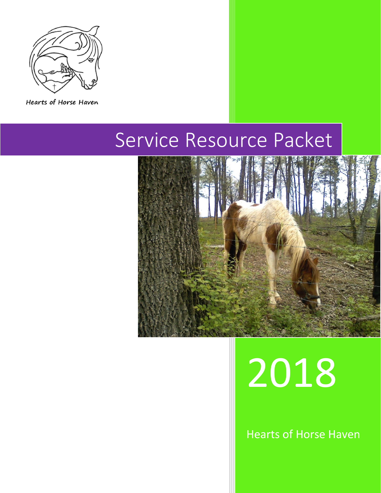

Hearts of Horse Haven

## Service Resource Packet



# 2018

Hearts of Horse Haven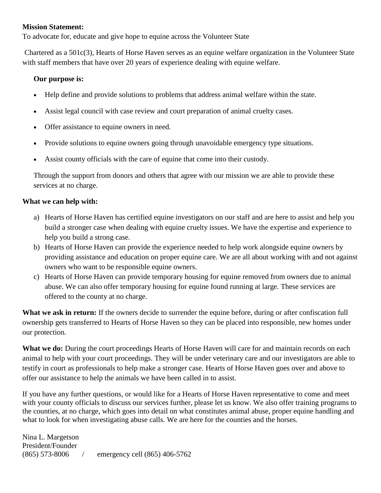#### **Mission Statement:**

To advocate for, educate and give hope to equine across the Volunteer State

Chartered as a 501c(3), Hearts of Horse Haven serves as an equine welfare organization in the Volunteer State with staff members that have over 20 years of experience dealing with equine welfare.

#### **Our purpose is:**

- Help define and provide solutions to problems that address animal welfare within the state.
- Assist legal council with case review and court preparation of animal cruelty cases.
- Offer assistance to equine owners in need.
- Provide solutions to equine owners going through unavoidable emergency type situations.
- Assist county officials with the care of equine that come into their custody.

Through the support from donors and others that agree with our mission we are able to provide these services at no charge.

#### **What we can help with:**

- a) Hearts of Horse Haven has certified equine investigators on our staff and are here to assist and help you build a stronger case when dealing with equine cruelty issues. We have the expertise and experience to help you build a strong case.
- b) Hearts of Horse Haven can provide the experience needed to help work alongside equine owners by providing assistance and education on proper equine care. We are all about working with and not against owners who want to be responsible equine owners.
- c) Hearts of Horse Haven can provide temporary housing for equine removed from owners due to animal abuse. We can also offer temporary housing for equine found running at large. These services are offered to the county at no charge.

**What we ask in return:** If the owners decide to surrender the equine before, during or after confiscation full ownership gets transferred to Hearts of Horse Haven so they can be placed into responsible, new homes under our protection.

**What we do:** During the court proceedings Hearts of Horse Haven will care for and maintain records on each animal to help with your court proceedings. They will be under veterinary care and our investigators are able to testify in court as professionals to help make a stronger case. Hearts of Horse Haven goes over and above to offer our assistance to help the animals we have been called in to assist.

If you have any further questions, or would like for a Hearts of Horse Haven representative to come and meet with your county officials to discuss our services further, please let us know. We also offer training programs to the counties, at no charge, which goes into detail on what constitutes animal abuse, proper equine handling and what to look for when investigating abuse calls. We are here for the counties and the horses.

Nina L. Margetson President/Founder (865) 573-8006 / emergency cell (865) 406-5762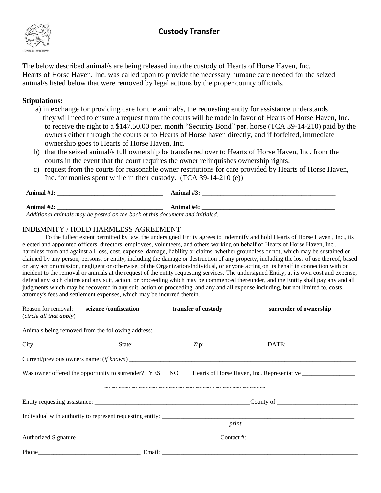### **Custody Transfer**



The below described animal/s are being released into the custody of Hearts of Horse Haven, Inc. Hearts of Horse Haven, Inc. was called upon to provide the necessary humane care needed for the seized animal/s listed below that were removed by legal actions by the proper county officials.

#### **Stipulations:**

- a) in exchange for providing care for the animal/s, the requesting entity for assistance understands they will need to ensure a request from the courts will be made in favor of Hearts of Horse Haven, Inc. to receive the right to a \$147.50.00 per. month "Security Bond" per. horse (TCA 39-14-210) paid by the owners either through the courts or to Hearts of Horse haven directly, and if forfeited, immediate ownership goes to Hearts of Horse Haven, Inc.
- b) that the seized animal/s full ownership be transferred over to Hearts of Horse Haven, Inc. from the courts in the event that the court requires the owner relinquishes ownership rights.
- c) request from the courts for reasonable owner restitutions for care provided by Hearts of Horse Haven, Inc. for monies spent while in their custody. (TCA 39-14-210 (e))

| Animal $#1$ : | Animal $#3$ :  |
|---------------|----------------|
| Animal $#2$   | \nimal $\#4$ : |

*Additional animals may be posted on the back of this document and initialed.* 

#### INDEMNITY / HOLD HARMLESS AGREEMENT

To the fullest extent permitted by law, the undersigned Entity agrees to indemnify and hold Hearts of Horse Haven , Inc., its elected and appointed officers, directors, employees, volunteers, and others working on behalf of Hearts of Horse Haven, Inc., harmless from and against all loss, cost, expense, damage, liability or claims, whether groundless or not, which may be sustained or claimed by any person, persons, or entity, including the damage or destruction of any property, including the loss of use thereof, based on any act or omission, negligent or otherwise, of the Organization/Individual, or anyone acting on its behalf in connection with or incident to the removal or animals at the request of the entity requesting services. The undersigned Entity, at its own cost and expense, defend any such claims and any suit, action, or proceeding which may be commenced thereunder, and the Entity shall pay any and all judgments which may be recovered in any suit, action or proceeding, and any and all expense including, but not limited to, costs, attorney's fees and settlement expenses, which may be incurred therein.

| Reason for removal:<br>(circle all that apply) | seizure /confiscation                                  | transfer of custody | surrender of ownership |  |
|------------------------------------------------|--------------------------------------------------------|---------------------|------------------------|--|
|                                                |                                                        |                     |                        |  |
|                                                |                                                        |                     |                        |  |
|                                                |                                                        |                     |                        |  |
|                                                | Was owner offered the opportunity to surrender? YES NO |                     |                        |  |
|                                                |                                                        |                     |                        |  |
|                                                |                                                        |                     |                        |  |
|                                                |                                                        |                     |                        |  |
|                                                |                                                        | print               |                        |  |
|                                                |                                                        |                     |                        |  |
|                                                |                                                        |                     |                        |  |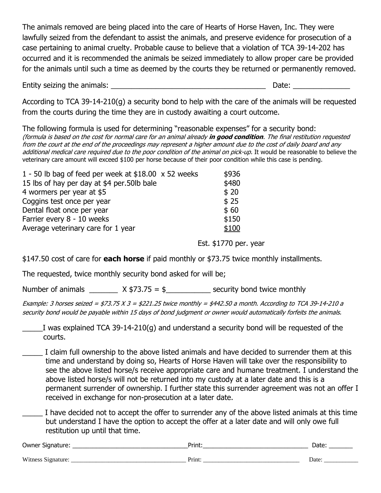The animals removed are being placed into the care of Hearts of Horse Haven, Inc. They were lawfully seized from the defendant to assist the animals, and preserve evidence for prosecution of a case pertaining to animal cruelty. Probable cause to believe that a violation of TCA 39-14-202 has occurred and it is recommended the animals be seized immediately to allow proper care be provided for the animals until such a time as deemed by the courts they be returned or permanently removed.

Entity seizing the animals: **Entity seizing** the animals:

According to TCA 39-14-210(g) a security bond to help with the care of the animals will be requested from the courts during the time they are in custody awaiting a court outcome.

The following formula is used for determining "reasonable expenses" for a security bond: (formula is based on the cost for normal care for an animal already **in good condition**. The final restitution requested from the court at the end of the proceedings may represent a higher amount due to the cost of daily board and any additional medical care required due to the poor condition of the animal on pick-up. It would be reasonable to believe the veterinary care amount will exceed \$100 per horse because of their poor condition while this case is pending.

| 1 - 50 lb bag of feed per week at $$18.00 \times 52$ weeks | \$936 |
|------------------------------------------------------------|-------|
| 15 lbs of hay per day at \$4 per.50lb bale                 | \$480 |
| 4 wormers per year at \$5                                  | \$20  |
| Coggins test once per year                                 | \$25  |
| Dental float once per year                                 | \$60  |
| Farrier every 8 - 10 weeks                                 | \$150 |
| Average veterinary care for 1 year                         | \$100 |
|                                                            |       |

Est. \$1770 per. year

\$147.50 cost of care for **each horse** if paid monthly or \$73.75 twice monthly installments.

The requested, twice monthly security bond asked for will be;

Number of animals  $X $73.75 = $$  security bond twice monthly

Example: 3 horses seized = \$73.75  $X3 = $221.25$  twice monthly = \$442.50 a month. According to TCA 39-14-210 a security bond would be payable within 15 days of bond judgment or owner would automatically forfeits the animals.

\_\_\_\_\_I was explained TCA 39-14-210(g) and understand a security bond will be requested of the courts.

\_\_\_\_\_ I claim full ownership to the above listed animals and have decided to surrender them at this time and understand by doing so, Hearts of Horse Haven will take over the responsibility to see the above listed horse/s receive appropriate care and humane treatment. I understand the above listed horse/s will not be returned into my custody at a later date and this is a permanent surrender of ownership. I further state this surrender agreement was not an offer I received in exchange for non-prosecution at a later date.

I have decided not to accept the offer to surrender any of the above listed animals at this time but understand I have the option to accept the offer at a later date and will only owe full restitution up until that time.

| Owner<br>Sianati. | . .<br>. 11 R T |  |
|-------------------|-----------------|--|
|                   |                 |  |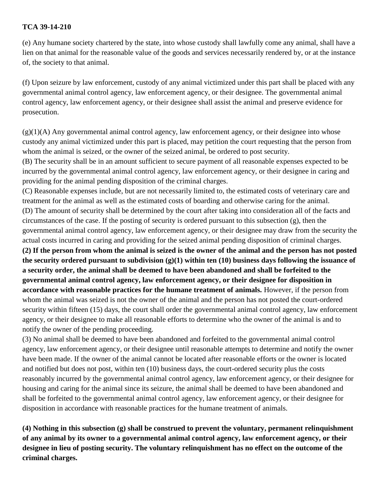#### **TCA 39-14-210**

(e) Any humane society chartered by the state, into whose custody shall lawfully come any animal, shall have a lien on that animal for the reasonable value of the goods and services necessarily rendered by, or at the instance of, the society to that animal.

(f) Upon seizure by law enforcement, custody of any animal victimized under this part shall be placed with any governmental animal control agency, law enforcement agency, or their designee. The governmental animal control agency, law enforcement agency, or their designee shall assist the animal and preserve evidence for prosecution.

 $(g)(1)(A)$  Any governmental animal control agency, law enforcement agency, or their designee into whose custody any animal victimized under this part is placed, may petition the court requesting that the person from whom the animal is seized, or the owner of the seized animal, be ordered to post security.

(B) The security shall be in an amount sufficient to secure payment of all reasonable expenses expected to be incurred by the governmental animal control agency, law enforcement agency, or their designee in caring and providing for the animal pending disposition of the criminal charges.

(C) Reasonable expenses include, but are not necessarily limited to, the estimated costs of veterinary care and treatment for the animal as well as the estimated costs of boarding and otherwise caring for the animal. (D) The amount of security shall be determined by the court after taking into consideration all of the facts and circumstances of the case. If the posting of security is ordered pursuant to this subsection (g), then the governmental animal control agency, law enforcement agency, or their designee may draw from the security the actual costs incurred in caring and providing for the seized animal pending disposition of criminal charges.

**(2) If the person from whom the animal is seized is the owner of the animal and the person has not posted the security ordered pursuant to subdivision (g)(1) within ten (10) business days following the issuance of a security order, the animal shall be deemed to have been abandoned and shall be forfeited to the governmental animal control agency, law enforcement agency, or their designee for disposition in accordance with reasonable practices for the humane treatment of animals.** However, if the person from whom the animal was seized is not the owner of the animal and the person has not posted the court-ordered security within fifteen (15) days, the court shall order the governmental animal control agency, law enforcement agency, or their designee to make all reasonable efforts to determine who the owner of the animal is and to notify the owner of the pending proceeding.

(3) No animal shall be deemed to have been abandoned and forfeited to the governmental animal control agency, law enforcement agency, or their designee until reasonable attempts to determine and notify the owner have been made. If the owner of the animal cannot be located after reasonable efforts or the owner is located and notified but does not post, within ten (10) business days, the court-ordered security plus the costs reasonably incurred by the governmental animal control agency, law enforcement agency, or their designee for housing and caring for the animal since its seizure, the animal shall be deemed to have been abandoned and shall be forfeited to the governmental animal control agency, law enforcement agency, or their designee for disposition in accordance with reasonable practices for the humane treatment of animals.

**(4) Nothing in this subsection (g) shall be construed to prevent the voluntary, permanent relinquishment of any animal by its owner to a governmental animal control agency, law enforcement agency, or their designee in lieu of posting security. The voluntary relinquishment has no effect on the outcome of the criminal charges.**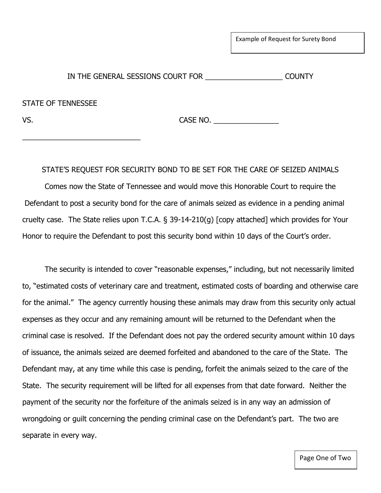Example of Request for Surety Bond

IN THE GENERAL SESSIONS COURT FOR \_\_\_\_\_\_\_\_\_\_\_\_\_\_\_\_\_\_\_ COUNTY

STATE OF TENNESSEE

\_\_\_\_\_\_\_\_\_\_\_\_\_\_\_\_\_\_\_\_\_\_\_\_\_\_\_\_\_

VS. CASE NO. \_\_\_\_\_\_\_\_\_\_\_\_\_\_\_\_

STATE'S REQUEST FOR SECURITY BOND TO BE SET FOR THE CARE OF SEIZED ANIMALS

Comes now the State of Tennessee and would move this Honorable Court to require the Defendant to post a security bond for the care of animals seized as evidence in a pending animal cruelty case. The State relies upon T.C.A. § 39-14-210(g) [copy attached] which provides for Your Honor to require the Defendant to post this security bond within 10 days of the Court's order.

The security is intended to cover "reasonable expenses," including, but not necessarily limited to, "estimated costs of veterinary care and treatment, estimated costs of boarding and otherwise care for the animal." The agency currently housing these animals may draw from this security only actual expenses as they occur and any remaining amount will be returned to the Defendant when the criminal case is resolved. If the Defendant does not pay the ordered security amount within 10 days of issuance, the animals seized are deemed forfeited and abandoned to the care of the State. The Defendant may, at any time while this case is pending, forfeit the animals seized to the care of the State. The security requirement will be lifted for all expenses from that date forward. Neither the payment of the security nor the forfeiture of the animals seized is in any way an admission of wrongdoing or guilt concerning the pending criminal case on the Defendant's part. The two are separate in every way.